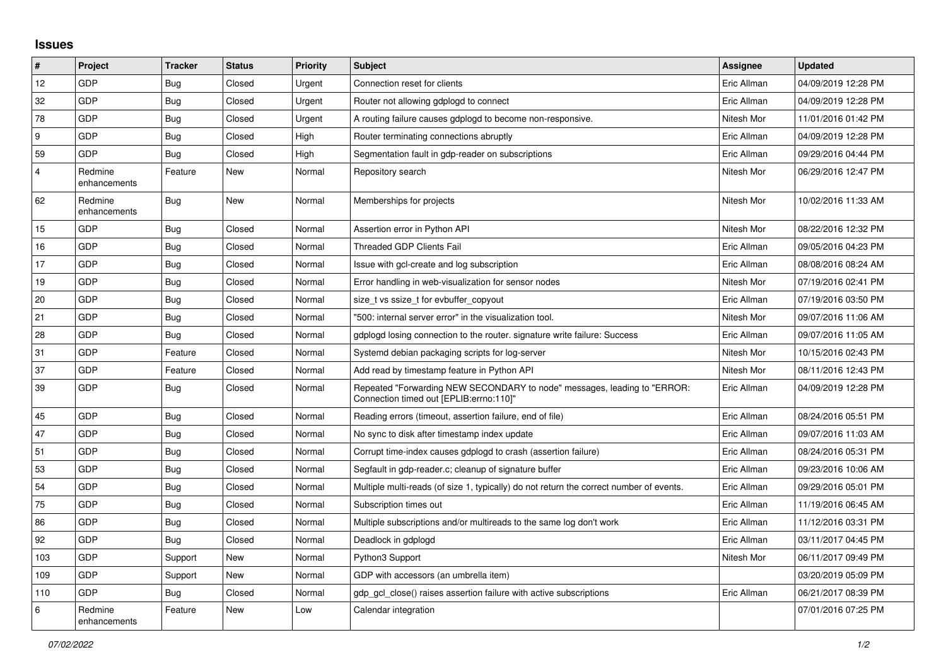## **Issues**

| $\sharp$       | Project                 | <b>Tracker</b> | <b>Status</b> | <b>Priority</b> | <b>Subject</b>                                                                                                      | Assignee    | <b>Updated</b>      |
|----------------|-------------------------|----------------|---------------|-----------------|---------------------------------------------------------------------------------------------------------------------|-------------|---------------------|
| 12             | GDP                     | <b>Bug</b>     | Closed        | Urgent          | Connection reset for clients                                                                                        | Eric Allman | 04/09/2019 12:28 PM |
| 32             | GDP                     | <b>Bug</b>     | Closed        | Urgent          | Router not allowing gdplogd to connect                                                                              | Eric Allman | 04/09/2019 12:28 PM |
| 78             | GDP                     | Bug            | Closed        | Urgent          | A routing failure causes gdplogd to become non-responsive.                                                          | Nitesh Mor  | 11/01/2016 01:42 PM |
| 9              | GDP                     | <b>Bug</b>     | Closed        | High            | Router terminating connections abruptly                                                                             | Eric Allman | 04/09/2019 12:28 PM |
| 59             | GDP                     | <b>Bug</b>     | Closed        | High            | Segmentation fault in gdp-reader on subscriptions                                                                   | Eric Allman | 09/29/2016 04:44 PM |
| $\overline{4}$ | Redmine<br>enhancements | Feature        | New           | Normal          | Repository search                                                                                                   | Nitesh Mor  | 06/29/2016 12:47 PM |
| 62             | Redmine<br>enhancements | Bug            | New           | Normal          | Memberships for projects                                                                                            | Nitesh Mor  | 10/02/2016 11:33 AM |
| 15             | GDP                     | <b>Bug</b>     | Closed        | Normal          | Assertion error in Python API                                                                                       | Nitesh Mor  | 08/22/2016 12:32 PM |
| 16             | GDP                     | Bug            | Closed        | Normal          | <b>Threaded GDP Clients Fail</b>                                                                                    | Eric Allman | 09/05/2016 04:23 PM |
| 17             | <b>GDP</b>              | <b>Bug</b>     | Closed        | Normal          | Issue with gcl-create and log subscription                                                                          | Eric Allman | 08/08/2016 08:24 AM |
| 19             | GDP                     | Bug            | Closed        | Normal          | Error handling in web-visualization for sensor nodes                                                                | Nitesh Mor  | 07/19/2016 02:41 PM |
| 20             | GDP                     | Bug            | Closed        | Normal          | size t vs ssize t for evbuffer copyout                                                                              | Eric Allman | 07/19/2016 03:50 PM |
| 21             | GDP                     | <b>Bug</b>     | Closed        | Normal          | "500: internal server error" in the visualization tool.                                                             | Nitesh Mor  | 09/07/2016 11:06 AM |
| 28             | GDP                     | Bug            | Closed        | Normal          | gdplogd losing connection to the router, signature write failure: Success                                           | Eric Allman | 09/07/2016 11:05 AM |
| 31             | GDP                     | Feature        | Closed        | Normal          | Systemd debian packaging scripts for log-server                                                                     | Nitesh Mor  | 10/15/2016 02:43 PM |
| 37             | GDP                     | Feature        | Closed        | Normal          | Add read by timestamp feature in Python API                                                                         | Nitesh Mor  | 08/11/2016 12:43 PM |
| 39             | GDP                     | <b>Bug</b>     | Closed        | Normal          | Repeated "Forwarding NEW SECONDARY to node" messages, leading to "ERROR:<br>Connection timed out [EPLIB:errno:110]" | Eric Allman | 04/09/2019 12:28 PM |
| 45             | <b>GDP</b>              | <b>Bug</b>     | Closed        | Normal          | Reading errors (timeout, assertion failure, end of file)                                                            | Eric Allman | 08/24/2016 05:51 PM |
| 47             | GDP                     | Bug            | Closed        | Normal          | No sync to disk after timestamp index update                                                                        | Eric Allman | 09/07/2016 11:03 AM |
| 51             | GDP                     | Bug            | Closed        | Normal          | Corrupt time-index causes gdplogd to crash (assertion failure)                                                      | Eric Allman | 08/24/2016 05:31 PM |
| 53             | GDP                     | Bug            | Closed        | Normal          | Segfault in gdp-reader.c; cleanup of signature buffer                                                               | Eric Allman | 09/23/2016 10:06 AM |
| 54             | GDP                     | Bug            | Closed        | Normal          | Multiple multi-reads (of size 1, typically) do not return the correct number of events.                             | Eric Allman | 09/29/2016 05:01 PM |
| 75             | GDP                     | <b>Bug</b>     | Closed        | Normal          | Subscription times out                                                                                              | Eric Allman | 11/19/2016 06:45 AM |
| 86             | GDP                     | <b>Bug</b>     | Closed        | Normal          | Multiple subscriptions and/or multireads to the same log don't work                                                 | Eric Allman | 11/12/2016 03:31 PM |
| 92             | <b>GDP</b>              | Bug            | Closed        | Normal          | Deadlock in gdplogd                                                                                                 | Eric Allman | 03/11/2017 04:45 PM |
| 103            | GDP                     | Support        | <b>New</b>    | Normal          | Python3 Support                                                                                                     | Nitesh Mor  | 06/11/2017 09:49 PM |
| 109            | GDP                     | Support        | <b>New</b>    | Normal          | GDP with accessors (an umbrella item)                                                                               |             | 03/20/2019 05:09 PM |
| 110            | <b>GDP</b>              | Bug            | Closed        | Normal          | gdp_gcl_close() raises assertion failure with active subscriptions                                                  | Eric Allman | 06/21/2017 08:39 PM |
| 6              | Redmine<br>enhancements | Feature        | New           | Low             | Calendar integration                                                                                                |             | 07/01/2016 07:25 PM |